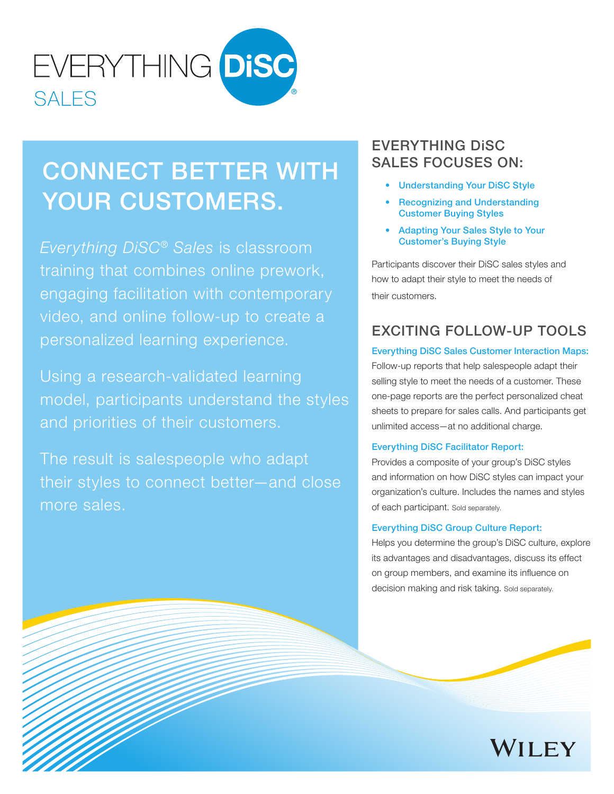

# CONNECT BETTER WITH YOUR CUSTOMERS.

*Everything DiSC*® *Sales* is classroom training that combines online prework, engaging facilitation with contemporary video, and online follow-up to create a personalized learning experience.

Using a research-validated learning model, participants understand the styles and priorities of their customers.

The result is salespeople who adapt their styles to connect better—and close more sales.

# EVERYTHING DiSC SALES FOCUSES ON:

- Understanding Your DiSC Style
- **Recognizing and Understanding** Customer Buying Styles
- Adapting Your Sales Style to Your Customer's Buying Style

Participants discover their DiSC sales styles and how to adapt their style to meet the needs of their customers.

# EXCITING FOLLOW-UP TOOLS

Everything DiSC Sales Customer Interaction Maps: Follow-up reports that help salespeople adapt their selling style to meet the needs of a customer. These one-page reports are the perfect personalized cheat sheets to prepare for sales calls. And participants get unlimited access—at no additional charge.

#### Everything DiSC Facilitator Report:

Provides a composite of your group's DiSC styles and information on how DiSC styles can impact your organization's culture. Includes the names and styles of each participant. Sold separately.

#### Everything DiSC Group Culture Report:

Helps you determine the group's DiSC culture, explore its advantages and disadvantages, discuss its effect on group members, and examine its influence on decision making and risk taking. Sold separately.